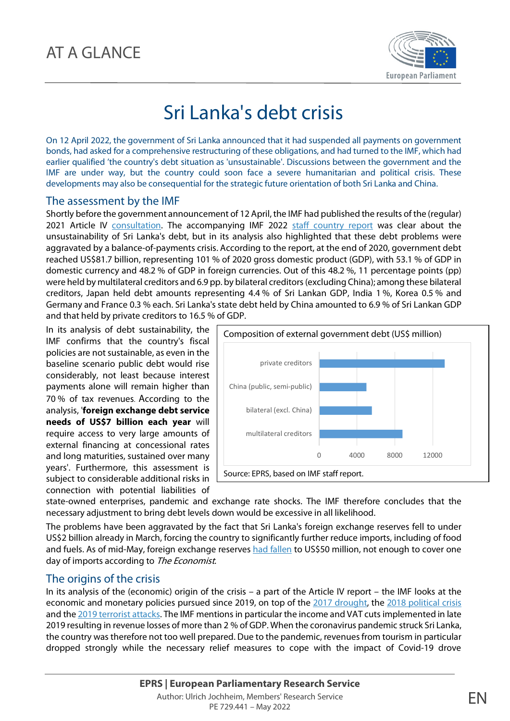

# Sri Lanka's debt crisis

On 12 April 2022, the government of Sri Lanka announced that it had suspended all payments on government bonds, had asked for a comprehensive restructuring of these obligations, and had turned to the IMF, which had earlier qualified 'the country's debt situation as 'unsustainable'. Discussions between the government and the IMF are under way, but the country could soon face a severe humanitarian and political crisis. These developments may also be consequential for the strategic future orientation of both Sri Lanka and China.

#### The assessment by the IMF

Shortly before the government announcement of 12 April, the IMF had published the results of the (regular) 2021 Article IV consultation. The accompanying IMF 2022 staff country report was clear about the unsustainability of Sri Lanka's debt, but in its analysis also highlighted that these debt problems were aggravated by a balance-of-payments crisis. According to the report, at the end of 2020, government debt reached US\$81.7 billion, representing 101 % of 2020 gross domestic product (GDP), with 53.1 % of GDP in domestic currency and 48.2 % of GDP in foreign currencies. Out of this 48.2 %, 11 percentage points (pp) were held by multilateral creditors and 6.9 pp. by bilateral creditors (excluding China); among these bilateral creditors, Japan held debt amounts representing 4.4 % of Sri Lankan GDP, India 1 %, Korea 0.5 % and Germany and France 0.3 % each. Sri Lanka's state debt held by China amounted to 6.9 % of Sri Lankan GDP and that held by private creditors to 16.5 % of GDP.

In its analysis of debt sustainability, the IMF confirms that the country's fiscal policies are not sustainable, as even in the baseline scenario public debt would rise considerably, not least because interest payments alone will remain higher than 70 % of tax revenues. According to the analysis, '**foreign exchange debt service needs of US\$7 billion each year** will require access to very large amounts of external financing at concessional rates and long maturities, sustained over many years'. Furthermore, this assessment is subject to considerable additional risks in connection with potential liabilities of



state-owned enterprises, pandemic and exchange rate shocks. The IMF therefore concludes that the necessary adjustment to bring debt levels down would be excessive in all likelihood.

The problems have been aggravated by the fact that Sri Lanka's foreign exchange reserves fell to under US\$2 billion already in March, forcing the country to significantly further reduce imports, including of food and fuels. As of mid-May, foreign exchange reserves had fallen to US\$50 million, not enough to cover one day of imports according to The Economist.

### The origins of the crisis

In its analysis of the (economic) origin of the crisis – a part of the Article IV report – the IMF looks at the economic and monetary policies pursued since 2019, on top of the 2017 drought, the 2018 political crisis and the 2019 terrorist attacks. The IMF mentions in particular the income and VAT cuts implemented in late 2019 resulting in revenue losses of more than 2 % of GDP. When the coronavirus pandemic struck Sri Lanka, the country was therefore not too well prepared. Due to the pandemic, revenues from tourism in particular dropped strongly while the necessary relief measures to cope with the impact of Covid-19 drove